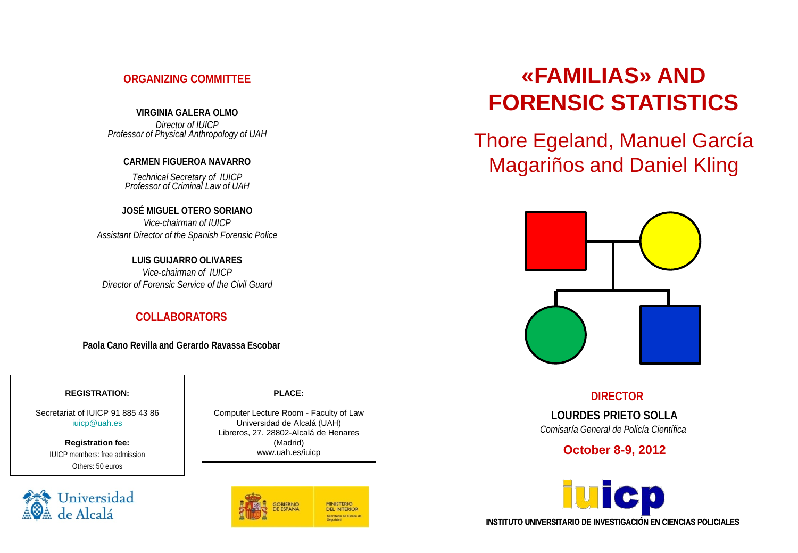## **ORGANIZING COMMITTEE**

**VIRGINIA GALERA OLMO** *Director of IUICP Professor of Physical Anthropology of UAH*

## **CARMEN FIGUEROA NAVARRO**

*Technical Secretary of IUICP Professor of Criminal Law of UAH*

**JOSÉ MIGUEL OTERO SORIANO** *Vice-chairman of IUICP Assistant Director of the Spanish Forensic Police*

**LUIS GUIJARRO OLIVARES** *Vice-chairman of IUICP Director of Forensic Service of the Civil Guard* 

## **COLLABORATORS**

**Paola Cano Revilla and Gerardo Ravassa Escobar**

#### **REGISTRATION:**

Secretariat of IUICP 91 885 43 86 [iuicp@uah.es](mailto:iuicp@uah.es)

> **Registration fee:** IUICP members: free admission Others: 50 euros



#### **PLACE:**

Computer Lecture Room - Faculty of Law Universidad de Alcalá (UAH) Libreros, 27. 28802-Alcalá de Henares (Madrid) www.uah.es/iuicp



# **«FAMILIAS» AND FORENSIC STATISTICS**

Thore Egeland, Manuel García Magariños and Daniel Kling



 **DIRECTOR**

**LOURDES PRIETO SOLLA** *Comisaría General de Policía Científica*

**October 8-9, 2012**